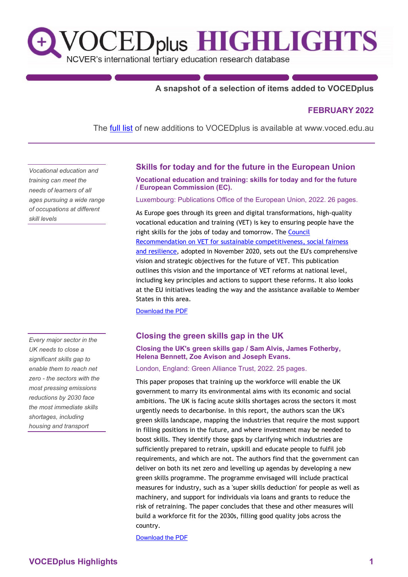

## **A snapshot of a selection of items added to VOCEDplus**

## **FEBRUARY 2022**

The **[full list](https://www.voced.edu.au/newItemsAdded)** of new additions to VOCEDplus is available at www.voced.edu.au

*Vocational education and training can meet the needs of learners of all ages pursuing a wide range of occupations at different skill levels*

*Every major sector in the UK needs to close a significant skills gap to enable them to reach net zero - the sectors with the most pressing emissions reductions by 2030 face the most immediate skills shortages, including housing and transport*

## **Skills for today and for the future in the European Union**

**Vocational education and training: skills for today and for the future / European Commission (EC).**

Luxembourg: Publications Office of the European Union, 2022. 26 pages.

As Europe goes through its green and digital transformations, high-quality vocational education and training (VET) is key to ensuring people have the right skills for the jobs of today and tomorrow. The [Council](https://eur-lex.europa.eu/legal-content/EN/TXT/PDF/?uri=CELEX:32020H1202(01)&from=EN)  [Recommendation on VET for sustainable competitiveness, social fairness](https://eur-lex.europa.eu/legal-content/EN/TXT/PDF/?uri=CELEX:32020H1202(01)&from=EN)  [and resilience,](https://eur-lex.europa.eu/legal-content/EN/TXT/PDF/?uri=CELEX:32020H1202(01)&from=EN) adopted in November 2020, sets out the EU's comprehensive vision and strategic objectives for the future of VET. This publication outlines this vision and the importance of VET reforms at national level, including key principles and actions to support these reforms. It also looks at the EU initiatives leading the way and the assistance available to Member States in this area.

[Download the PDF](https://ec.europa.eu/social/main.jsp?catId=738&langId=en&pubId=8450)

#### **Closing the green skills gap in the UK**

#### **Closing the UK's green skills gap / Sam Alvis, James Fotherby, Helena Bennett, Zoe Avison and Joseph Evans.**

London, England: Green Alliance Trust, 2022. 25 pages.

This paper proposes that training up the workforce will enable the UK government to marry its environmental aims with its economic and social ambitions. The UK is facing acute skills shortages across the sectors it most urgently needs to decarbonise. In this report, the authors scan the UK's green skills landscape, mapping the industries that require the most support in filling positions in the future, and where investment may be needed to boost skills. They identify those gaps by clarifying which industries are sufficiently prepared to retrain, upskill and educate people to fulfil job requirements, and which are not. The authors find that the government can deliver on both its net zero and levelling up agendas by developing a new green skills programme. The programme envisaged will include practical measures for industry, such as a 'super skills deduction' for people as well as machinery, and support for individuals via loans and grants to reduce the risk of retraining. The paper concludes that these and other measures will build a workforce fit for the 2030s, filling good quality jobs across the country.

[Download the PDF](https://green-alliance.org.uk/wp-content/uploads/2022/01/Closing_the_UKs_green_skills_gap.pdf)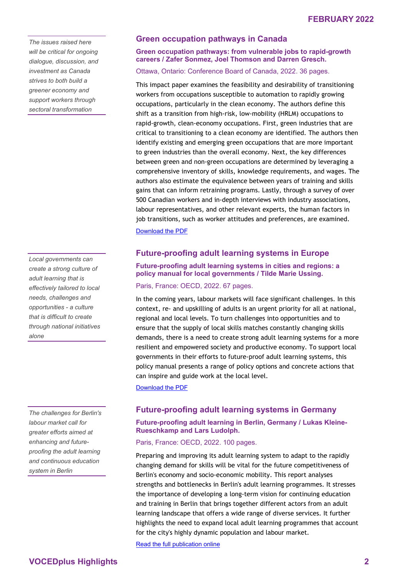*The issues raised here will be critical for ongoing dialogue, discussion, and investment as Canada strives to both build a greener economy and support workers through sectoral transformation*

*Local governments can create a strong culture of adult learning that is effectively tailored to local needs, challenges and opportunities - a culture that is difficult to create through national initiatives alone*

*The challenges for Berlin's labour market call for greater efforts aimed at enhancing and futureproofing the adult learning and continuous education system in Berlin*

## **Green occupation pathways in Canada**

#### **Green occupation pathways: from vulnerable jobs to rapid-growth careers / Zafer Sonmez, Joel Thomson and Darren Gresch.**

Ottawa, Ontario: Conference Board of Canada, 2022. 36 pages.

This impact paper examines the feasibility and desirability of transitioning workers from occupations susceptible to automation to rapidly growing occupations, particularly in the clean economy. The authors define this shift as a transition from high-risk, low-mobility (HRLM) occupations to rapid-growth, clean-economy occupations. First, green industries that are critical to transitioning to a clean economy are identified. The authors then identify existing and emerging green occupations that are more important to green industries than the overall economy. Next, the key differences between green and non-green occupations are determined by leveraging a comprehensive inventory of skills, knowledge requirements, and wages. The authors also estimate the equivalence between years of training and skills gains that can inform retraining programs. Lastly, through a survey of over 500 Canadian workers and in-depth interviews with industry associations, labour representatives, and other relevant experts, the human factors in job transitions, such as worker attitudes and preferences, are examined. [Download the PDF](https://fsc-ccf.ca/wp-content/uploads/2022/02/FSC_green-occupation-pathways.pdf)

# **Future-proofing adult learning systems in Europe**

**Future-proofing adult learning systems in cities and regions: a policy manual for local governments / Tilde Marie Ussing.**

Paris, France: OECD, 2022. 67 pages.

In the coming years, labour markets will face significant challenges. In this context, re- and upskilling of adults is an urgent priority for all at national, regional and local levels. To turn challenges into opportunities and to ensure that the supply of local skills matches constantly changing skills demands, there is a need to create strong adult learning systems for a more resilient and empowered society and productive economy. To support local governments in their efforts to future-proof adult learning systems, this policy manual presents a range of policy options and concrete actions that can inspire and guide work at the local level.

[Download the PDF](https://doi.org/10.1787/11fa26cc-en)

## **Future-proofing adult learning systems in Germany**

#### **Future-proofing adult learning in Berlin, Germany / Lukas Kleine-Rueschkamp and Lars Ludolph.**

Paris, France: OECD, 2022. 100 pages.

Preparing and improving its adult learning system to adapt to the rapidly changing demand for skills will be vital for the future competitiveness of Berlin's economy and socio-economic mobility. This report analyses strengths and bottlenecks in Berlin's adult learning programmes. It stresses the importance of developing a long-term vision for continuing education and training in Berlin that brings together different actors from an adult learning landscape that offers a wide range of diverse services. It further highlights the need to expand local adult learning programmes that account for the city's highly dynamic population and labour market.

[Read the full publication online](https://read.oecd-ilibrary.org/employment/future-proofing-adult-learning-in-berlin-germany_fdf38f60-en)